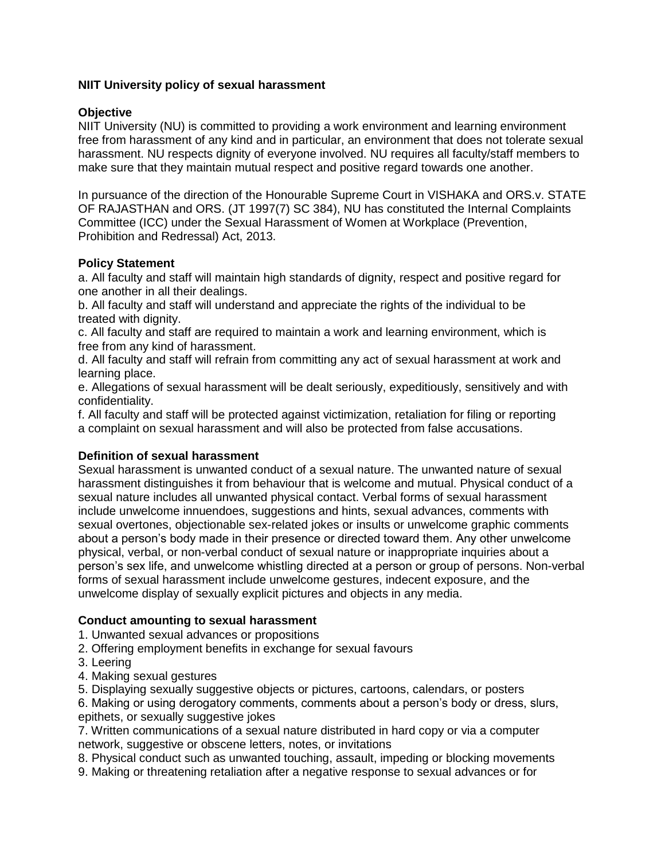# **NIIT University policy of sexual harassment**

## **Objective**

NIIT University (NU) is committed to providing a work environment and learning environment free from harassment of any kind and in particular, an environment that does not tolerate sexual harassment. NU respects dignity of everyone involved. NU requires all faculty/staff members to make sure that they maintain mutual respect and positive regard towards one another.

In pursuance of the direction of the Honourable Supreme Court in VISHAKA and ORS.v. STATE OF RAJASTHAN and ORS. (JT 1997(7) SC 384), NU has constituted the Internal Complaints Committee (ICC) under the Sexual Harassment of Women at Workplace (Prevention, Prohibition and Redressal) Act, 2013.

## **Policy Statement**

a. All faculty and staff will maintain high standards of dignity, respect and positive regard for one another in all their dealings.

b. All faculty and staff will understand and appreciate the rights of the individual to be treated with dignity.

c. All faculty and staff are required to maintain a work and learning environment, which is free from any kind of harassment.

d. All faculty and staff will refrain from committing any act of sexual harassment at work and learning place.

e. Allegations of sexual harassment will be dealt seriously, expeditiously, sensitively and with confidentiality.

f. All faculty and staff will be protected against victimization, retaliation for filing or reporting a complaint on sexual harassment and will also be protected from false accusations.

#### **Definition of sexual harassment**

Sexual harassment is unwanted conduct of a sexual nature. The unwanted nature of sexual harassment distinguishes it from behaviour that is welcome and mutual. Physical conduct of a sexual nature includes all unwanted physical contact. Verbal forms of sexual harassment include unwelcome innuendoes, suggestions and hints, sexual advances, comments with sexual overtones, objectionable sex-related jokes or insults or unwelcome graphic comments about a person's body made in their presence or directed toward them. Any other unwelcome physical, verbal, or non-verbal conduct of sexual nature or inappropriate inquiries about a person's sex life, and unwelcome whistling directed at a person or group of persons. Non-verbal forms of sexual harassment include unwelcome gestures, indecent exposure, and the unwelcome display of sexually explicit pictures and objects in any media.

# **Conduct amounting to sexual harassment**

1. Unwanted sexual advances or propositions

2. Offering employment benefits in exchange for sexual favours

- 3. Leering
- 4. Making sexual gestures

5. Displaying sexually suggestive objects or pictures, cartoons, calendars, or posters

6. Making or using derogatory comments, comments about a person's body or dress, slurs, epithets, or sexually suggestive jokes

7. Written communications of a sexual nature distributed in hard copy or via a computer network, suggestive or obscene letters, notes, or invitations

8. Physical conduct such as unwanted touching, assault, impeding or blocking movements

9. Making or threatening retaliation after a negative response to sexual advances or for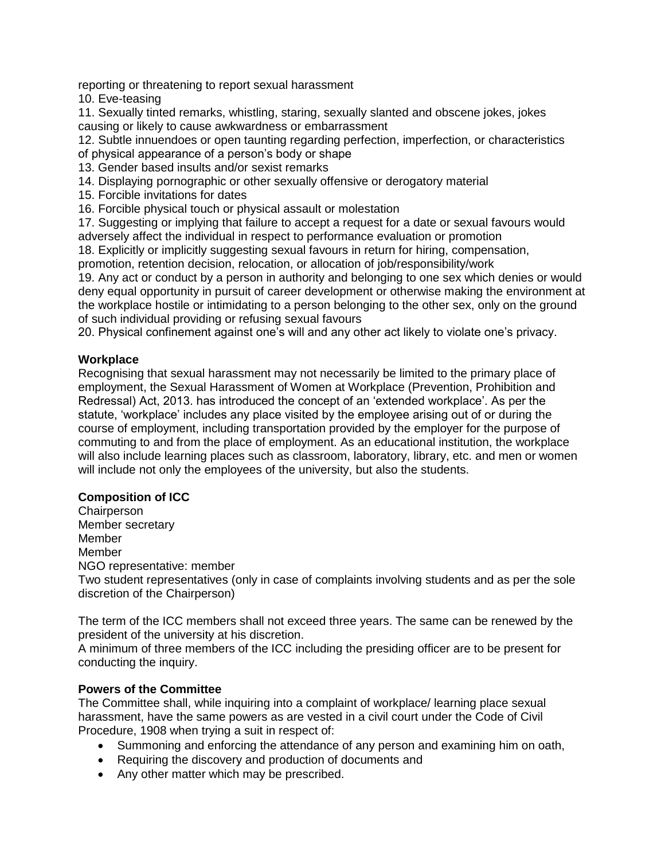reporting or threatening to report sexual harassment

10. Eve-teasing

11. Sexually tinted remarks, whistling, staring, sexually slanted and obscene jokes, jokes causing or likely to cause awkwardness or embarrassment

12. Subtle innuendoes or open taunting regarding perfection, imperfection, or characteristics of physical appearance of a person's body or shape

- 13. Gender based insults and/or sexist remarks
- 14. Displaying pornographic or other sexually offensive or derogatory material
- 15. Forcible invitations for dates
- 16. Forcible physical touch or physical assault or molestation

17. Suggesting or implying that failure to accept a request for a date or sexual favours would adversely affect the individual in respect to performance evaluation or promotion

18. Explicitly or implicitly suggesting sexual favours in return for hiring, compensation, promotion, retention decision, relocation, or allocation of job/responsibility/work

19. Any act or conduct by a person in authority and belonging to one sex which denies or would deny equal opportunity in pursuit of career development or otherwise making the environment at the workplace hostile or intimidating to a person belonging to the other sex, only on the ground of such individual providing or refusing sexual favours

20. Physical confinement against one's will and any other act likely to violate one's privacy.

## **Workplace**

Recognising that sexual harassment may not necessarily be limited to the primary place of employment, the Sexual Harassment of Women at Workplace (Prevention, Prohibition and Redressal) Act, 2013. has introduced the concept of an 'extended workplace'. As per the statute, 'workplace' includes any place visited by the employee arising out of or during the course of employment, including transportation provided by the employer for the purpose of commuting to and from the place of employment. As an educational institution, the workplace will also include learning places such as classroom, laboratory, library, etc. and men or women will include not only the employees of the university, but also the students.

# **Composition of ICC**

**Chairperson** Member secretary Member Member NGO representative: member Two student representatives (only in case of complaints involving students and as per the sole discretion of the Chairperson)

The term of the ICC members shall not exceed three years. The same can be renewed by the president of the university at his discretion.

A minimum of three members of the ICC including the presiding officer are to be present for conducting the inquiry.

# **Powers of the Committee**

The Committee shall, while inquiring into a complaint of workplace/ learning place sexual harassment, have the same powers as are vested in a civil court under the Code of Civil Procedure, 1908 when trying a suit in respect of:

- Summoning and enforcing the attendance of any person and examining him on oath,
- Requiring the discovery and production of documents and
- Any other matter which may be prescribed.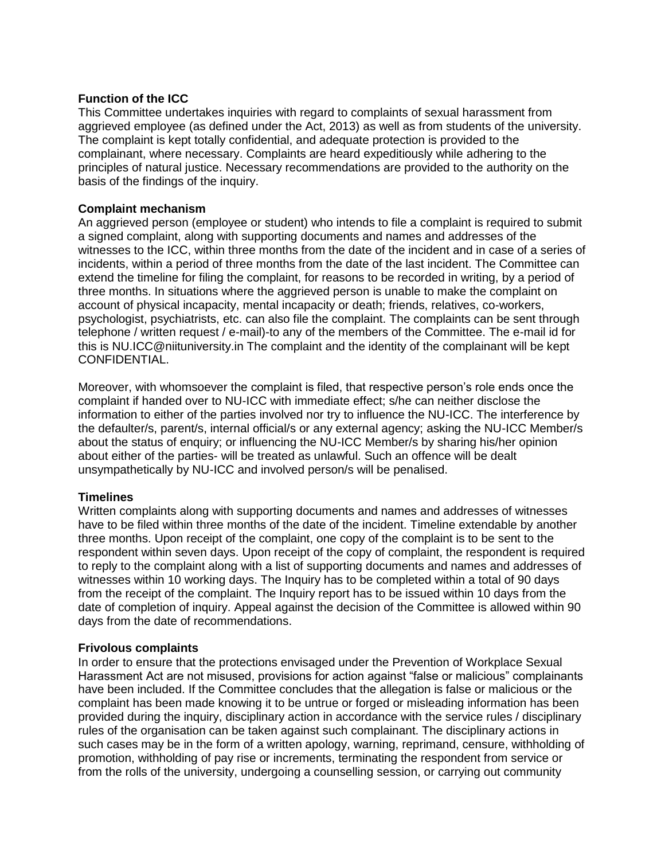## **Function of the ICC**

This Committee undertakes inquiries with regard to complaints of sexual harassment from aggrieved employee (as defined under the Act, 2013) as well as from students of the university. The complaint is kept totally confidential, and adequate protection is provided to the complainant, where necessary. Complaints are heard expeditiously while adhering to the principles of natural justice. Necessary recommendations are provided to the authority on the basis of the findings of the inquiry.

## **Complaint mechanism**

An aggrieved person (employee or student) who intends to file a complaint is required to submit a signed complaint, along with supporting documents and names and addresses of the witnesses to the ICC, within three months from the date of the incident and in case of a series of incidents, within a period of three months from the date of the last incident. The Committee can extend the timeline for filing the complaint, for reasons to be recorded in writing, by a period of three months. In situations where the aggrieved person is unable to make the complaint on account of physical incapacity, mental incapacity or death; friends, relatives, co-workers, psychologist, psychiatrists, etc. can also file the complaint. The complaints can be sent through telephone / written request / e-mail)-to any of the members of the Committee. The e-mail id for this is NU.ICC@niituniversity.in The complaint and the identity of the complainant will be kept CONFIDENTIAL.

Moreover, with whomsoever the complaint is filed, that respective person's role ends once the complaint if handed over to NU-ICC with immediate effect; s/he can neither disclose the information to either of the parties involved nor try to influence the NU-ICC. The interference by the defaulter/s, parent/s, internal official/s or any external agency; asking the NU-ICC Member/s about the status of enquiry; or influencing the NU-ICC Member/s by sharing his/her opinion about either of the parties- will be treated as unlawful. Such an offence will be dealt unsympathetically by NU-ICC and involved person/s will be penalised.

#### **Timelines**

Written complaints along with supporting documents and names and addresses of witnesses have to be filed within three months of the date of the incident. Timeline extendable by another three months. Upon receipt of the complaint, one copy of the complaint is to be sent to the respondent within seven days. Upon receipt of the copy of complaint, the respondent is required to reply to the complaint along with a list of supporting documents and names and addresses of witnesses within 10 working days. The Inquiry has to be completed within a total of 90 days from the receipt of the complaint. The Inquiry report has to be issued within 10 days from the date of completion of inquiry. Appeal against the decision of the Committee is allowed within 90 days from the date of recommendations.

#### **Frivolous complaints**

In order to ensure that the protections envisaged under the Prevention of Workplace Sexual Harassment Act are not misused, provisions for action against "false or malicious" complainants have been included. If the Committee concludes that the allegation is false or malicious or the complaint has been made knowing it to be untrue or forged or misleading information has been provided during the inquiry, disciplinary action in accordance with the service rules / disciplinary rules of the organisation can be taken against such complainant. The disciplinary actions in such cases may be in the form of a written apology, warning, reprimand, censure, withholding of promotion, withholding of pay rise or increments, terminating the respondent from service or from the rolls of the university, undergoing a counselling session, or carrying out community